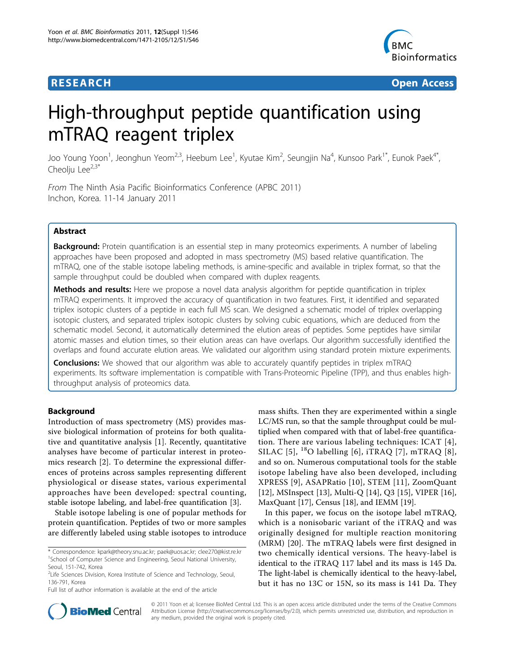

**RESEARCH CONTROL** CONTROL CONTROL CONTROL CONTROL CONTROL CONTROL CONTROL CONTROL CONTROL CONTROL CONTROL CONTROL CONTROL CONTROL CONTROL CONTROL CONTROL CONTROL CONTROL CONTROL CONTROL CONTROL CONTROL CONTROL CONTROL CON

# High-throughput peptide quantification using mTRAQ reagent triplex

Joo Young Yoon<sup>1</sup>, Jeonghun Yeom<sup>2,3</sup>, Heebum Lee<sup>1</sup>, Kyutae Kim<sup>2</sup>, Seungjin Na<sup>4</sup>, Kunsoo Park<sup>1\*</sup>, Eunok Paek<sup>4\*</sup>, Cheoliu Lee $^{2,3*}$ 

From The Ninth Asia Pacific Bioinformatics Conference (APBC 2011) Inchon, Korea. 11-14 January 2011

# Abstract

Background: Protein quantification is an essential step in many proteomics experiments. A number of labeling approaches have been proposed and adopted in mass spectrometry (MS) based relative quantification. The mTRAQ, one of the stable isotope labeling methods, is amine-specific and available in triplex format, so that the sample throughput could be doubled when compared with duplex reagents.

Methods and results: Here we propose a novel data analysis algorithm for peptide quantification in triplex mTRAQ experiments. It improved the accuracy of quantification in two features. First, it identified and separated triplex isotopic clusters of a peptide in each full MS scan. We designed a schematic model of triplex overlapping isotopic clusters, and separated triplex isotopic clusters by solving cubic equations, which are deduced from the schematic model. Second, it automatically determined the elution areas of peptides. Some peptides have similar atomic masses and elution times, so their elution areas can have overlaps. Our algorithm successfully identified the overlaps and found accurate elution areas. We validated our algorithm using standard protein mixture experiments.

Conclusions: We showed that our algorithm was able to accurately quantify peptides in triplex mTRAQ experiments. Its software implementation is compatible with Trans-Proteomic Pipeline (TPP), and thus enables highthroughput analysis of proteomics data.

# Background

Introduction of mass spectrometry (MS) provides massive biological information of proteins for both qualitative and quantitative analysis [[1\]](#page-10-0). Recently, quantitative analyses have become of particular interest in proteomics research [\[2](#page-10-0)]. To determine the expressional differences of proteins across samples representing different physiological or disease states, various experimental approaches have been developed: spectral counting, stable isotope labeling, and label-free quantification [\[3](#page-10-0)].

Stable isotope labeling is one of popular methods for protein quantification. Peptides of two or more samples are differently labeled using stable isotopes to introduce

Full list of author information is available at the end of the article

mass shifts. Then they are experimented within a single LC/MS run, so that the sample throughput could be multiplied when compared with that of label-free quantification. There are various labeling techniques: ICAT [[4\]](#page-10-0), SILAC [[5\]](#page-10-0),  $^{18}$ O labelling [[6\]](#page-10-0), iTRAQ [[7](#page-10-0)], mTRAQ [[8\]](#page-10-0), and so on. Numerous computational tools for the stable isotope labeling have also been developed, including XPRESS [\[9](#page-10-0)], ASAPRatio [[10\]](#page-10-0), STEM [[11](#page-10-0)], ZoomQuant [[12\]](#page-10-0), MSInspect [\[13](#page-10-0)], Multi-O [[14\]](#page-10-0), O3 [[15\]](#page-10-0), VIPER [\[16](#page-10-0)], MaxQuant [[17](#page-10-0)], Census [[18](#page-11-0)], and IEMM [[19](#page-11-0)].

In this paper, we focus on the isotope label mTRAQ, which is a nonisobaric variant of the iTRAQ and was originally designed for multiple reaction monitoring (MRM) [\[20](#page-11-0)]. The mTRAQ labels were first designed in two chemically identical versions. The heavy-label is identical to the iTRAQ 117 label and its mass is 145 Da. The light-label is chemically identical to the heavy-label, but it has no 13C or 15N, so its mass is 141 Da. They



© 2011 Yoon et al; licensee BioMed Central Ltd. This is an open access article distributed under the terms of the Creative Commons Attribution License [\(http://creativecommons.org/licenses/by/2.0](http://creativecommons.org/licenses/by/2.0)), which permits unrestricted use, distribution, and reproduction in any medium, provided the original work is properly cited.

<sup>\*</sup> Correspondence: [kpark@theory.snu.ac.kr;](mailto:kpark@theory.snu.ac.kr) [paek@uos.ac.kr;](mailto:paek@uos.ac.kr) [clee270@kist.re.kr](mailto:clee270@kist.re.kr) <sup>1</sup>School of Computer Science and Engineering, Seoul National University, Seoul, 151-742, Korea

<sup>&</sup>lt;sup>2</sup>Life Sciences Division, Korea Institute of Science and Technology, Seoul, 136-791, Korea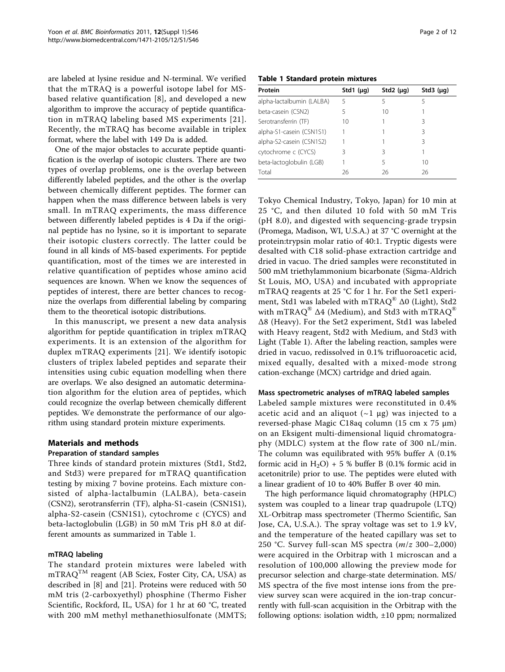are labeled at lysine residue and N-terminal. We verified that the mTRAQ is a powerful isotope label for MSbased relative quantification [\[8\]](#page-10-0), and developed a new algorithm to improve the accuracy of peptide quantification in mTRAQ labeling based MS experiments [[21\]](#page-11-0). Recently, the mTRAQ has become available in triplex format, where the label with 149 Da is added.

One of the major obstacles to accurate peptide quantification is the overlap of isotopic clusters. There are two types of overlap problems, one is the overlap between differently labeled peptides, and the other is the overlap between chemically different peptides. The former can happen when the mass difference between labels is very small. In mTRAQ experiments, the mass difference between differently labeled peptides is 4 Da if the original peptide has no lysine, so it is important to separate their isotopic clusters correctly. The latter could be found in all kinds of MS-based experiments. For peptide quantification, most of the times we are interested in relative quantification of peptides whose amino acid sequences are known. When we know the sequences of peptides of interest, there are better chances to recognize the overlaps from differential labeling by comparing them to the theoretical isotopic distributions.

In this manuscript, we present a new data analysis algorithm for peptide quantification in triplex mTRAQ experiments. It is an extension of the algorithm for duplex mTRAQ experiments [[21\]](#page-11-0). We identify isotopic clusters of triplex labeled peptides and separate their intensities using cubic equation modelling when there are overlaps. We also designed an automatic determination algorithm for the elution area of peptides, which could recognize the overlap between chemically different peptides. We demonstrate the performance of our algorithm using standard protein mixture experiments.

# Materials and methods

# Preparation of standard samples

Three kinds of standard protein mixtures (Std1, Std2, and Std3) were prepared for mTRAQ quantification testing by mixing 7 bovine proteins. Each mixture consisted of alpha-lactalbumin (LALBA), beta-casein (CSN2), serotransferrin (TF), alpha-S1-casein (CSN1S1), alpha-S2-casein (CSN1S1), cytochrome c (CYCS) and beta-lactoglobulin (LGB) in 50 mM Tris pH 8.0 at different amounts as summarized in Table 1.

# mTRAQ labeling

The standard protein mixtures were labeled with  $mTRAQ^{TM}$  reagent (AB Sciex, Foster City, CA, USA) as described in [\[8\]](#page-10-0) and [[21\]](#page-11-0). Proteins were reduced with 50 mM tris (2-carboxyethyl) phosphine (Thermo Fisher Scientific, Rockford, IL, USA) for 1 hr at 60 °C, treated with 200 mM methyl methanethiosulfonate (MMTS;

# Table 1 Standard protein mixtures

| Protein                   | Std1 $(\mu q)$ | Std2 $(\mu q)$ | Std3 $(\mu q)$ |
|---------------------------|----------------|----------------|----------------|
| alpha-lactalbumin (LALBA) | 5              |                | 5              |
| beta-casein (CSN2)        | 5              | 10             |                |
| Serotransferrin (TF)      | 10             |                | 3              |
| alpha-S1-casein (CSN1S1)  |                |                | ζ              |
| alpha-S2-casein (CSN1S2)  |                |                | ζ              |
| cytochrome c (CYCS)       | ζ              | 3              |                |
| beta-lactoglobulin (LGB)  |                | 5              | 10             |
| Total                     | 26             | 26             | 26             |

Tokyo Chemical Industry, Tokyo, Japan) for 10 min at 25 °C, and then diluted 10 fold with 50 mM Tris (pH 8.0), and digested with sequencing-grade trypsin (Promega, Madison, WI, U.S.A.) at 37 °C overnight at the protein:trypsin molar ratio of 40:1. Tryptic digests were desalted with C18 solid-phase extraction cartridge and dried in vacuo. The dried samples were reconstituted in 500 mM triethylammonium bicarbonate (Sigma-Aldrich St Louis, MO, USA) and incubated with appropriate mTRAQ reagents at 25 °C for 1 hr. For the Set1 experiment, Std1 was labeled with mTRAQ<sup>®</sup> Δ0 (Light), Std2 with mTRAQ<sup>®</sup>  $\Delta$ 4 (Medium), and Std3 with mTRAQ<sup>®</sup> Δ8 (Heavy). For the Set2 experiment, Std1 was labeled with Heavy reagent, Std2 with Medium, and Std3 with Light (Table 1). After the labeling reaction, samples were dried in vacuo, redissolved in 0.1% trifluoroacetic acid, mixed equally, desalted with a mixed-mode strong cation-exchange (MCX) cartridge and dried again.

#### Mass spectrometric analyses of mTRAQ labeled samples

Labeled sample mixtures were reconstituted in 0.4% acetic acid and an aliquot  $(-1 \mu g)$  was injected to a reversed-phase Magic C18aq column (15 cm x 75 μm) on an Eksigent multi-dimensional liquid chromatography (MDLC) system at the flow rate of 300 nL/min. The column was equilibrated with 95% buffer A (0.1% formic acid in  $H_2O$ ) + 5 % buffer B (0.1% formic acid in acetonitrile) prior to use. The peptides were eluted with a linear gradient of 10 to 40% Buffer B over 40 min.

The high performance liquid chromatography (HPLC) system was coupled to a linear trap quadrupole (LTQ) XL-Orbitrap mass spectrometer (Thermo Scientific, San Jose, CA, U.S.A.). The spray voltage was set to 1.9 kV, and the temperature of the heated capillary was set to 250 °C. Survey full-scan MS spectra  $(m/z 300-2,000)$ were acquired in the Orbitrap with 1 microscan and a resolution of 100,000 allowing the preview mode for precursor selection and charge-state determination. MS/ MS spectra of the five most intense ions from the preview survey scan were acquired in the ion-trap concurrently with full-scan acquisition in the Orbitrap with the following options: isolation width,  $\pm 10$  ppm; normalized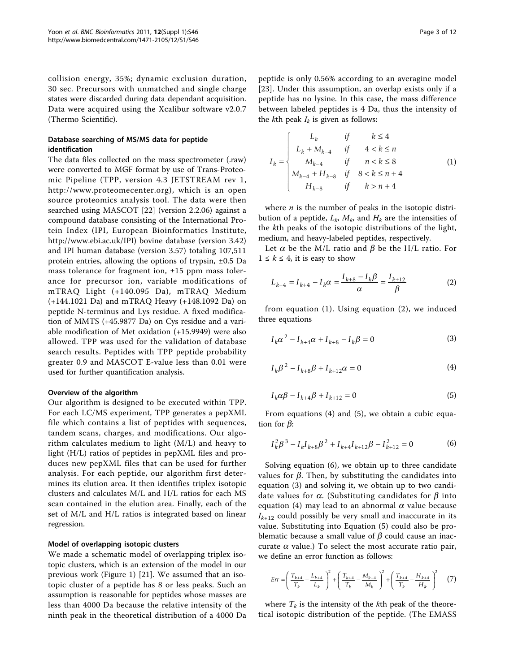collision energy, 35%; dynamic exclusion duration, 30 sec. Precursors with unmatched and single charge states were discarded during data dependant acquisition. Data were acquired using the Xcalibur software v2.0.7 (Thermo Scientific).

# Database searching of MS/MS data for peptide identification

The data files collected on the mass spectrometer (.raw) were converted to MGF format by use of Trans-Proteomic Pipeline (TPP, version 4.3 JETSTREAM rev 1, <http://www.proteomecenter.org>), which is an open source proteomics analysis tool. The data were then searched using MASCOT [\[22](#page-11-0)] (version 2.2.06) against a compound database consisting of the International Protein Index (IPI, European Bioinformatics Institute, [http://www.ebi.ac.uk/IPI\)](http://www.ebi.ac.uk/IPI) bovine database (version 3.42) and IPI human database (version 3.57) totaling 107,511 protein entries, allowing the options of trypsin, ±0.5 Da mass tolerance for fragment ion,  $\pm 15$  ppm mass tolerance for precursor ion, variable modifications of mTRAQ Light (+140.095 Da), mTRAQ Medium (+144.1021 Da) and mTRAQ Heavy (+148.1092 Da) on peptide N-terminus and Lys residue. A fixed modification of MMTS (+45.9877 Da) on Cys residue and a variable modification of Met oxidation (+15.9949) were also allowed. TPP was used for the validation of database search results. Peptides with TPP peptide probability greater 0.9 and MASCOT E-value less than 0.01 were used for further quantification analysis.

# Overview of the algorithm

Our algorithm is designed to be executed within TPP. For each LC/MS experiment, TPP generates a pepXML file which contains a list of peptides with sequences, tandem scans, charges, and modifications. Our algorithm calculates medium to light (M/L) and heavy to light (H/L) ratios of peptides in pepXML files and produces new pepXML files that can be used for further analysis. For each peptide, our algorithm first determines its elution area. It then identifies triplex isotopic clusters and calculates M/L and H/L ratios for each MS scan contained in the elution area. Finally, each of the set of M/L and H/L ratios is integrated based on linear regression.

#### Model of overlapping isotopic clusters

We made a schematic model of overlapping triplex isotopic clusters, which is an extension of the model in our previous work (Figure [1](#page-3-0)) [[21\]](#page-11-0). We assumed that an isotopic cluster of a peptide has 8 or less peaks. Such an assumption is reasonable for peptides whose masses are less than 4000 Da because the relative intensity of the ninth peak in the theoretical distribution of a 4000 Da

peptide is only 0.56% according to an averagine model [[23](#page-11-0)]. Under this assumption, an overlap exists only if a peptide has no lysine. In this case, the mass difference between labeled peptides is 4 Da, thus the intensity of the *k*th peak  $I_k$  is given as follows:

$$
I_{k} = \begin{cases} L_{k} & \text{if } k \leq 4 \\ L_{k} + M_{k-4} & \text{if } 4 < k \leq n \\ M_{k-4} & \text{if } n < k \leq 8 \\ M_{k-4} + H_{k-8} & \text{if } 8 < k \leq n+4 \\ H_{k-8} & \text{if } k > n+4 \end{cases}
$$
(1)

where  $n$  is the number of peaks in the isotopic distribution of a peptide,  $L_k$ ,  $M_k$ , and  $H_k$  are the intensities of the kth peaks of the isotopic distributions of the light, medium, and heavy-labeled peptides, respectively.

Let  $\alpha$  be the M/L ratio and  $\beta$  be the H/L ratio. For  $1 \leq k \leq 4$ , it is easy to show

$$
L_{k+4} = I_{k+4} - I_k \alpha = \frac{I_{k+8} - I_k \beta}{\alpha} = \frac{I_{k+12}}{\beta}
$$
 (2)

from equation (1). Using equation (2), we induced three equations

$$
I_k \alpha^2 - I_{k+4} \alpha + I_{k+8} - I_k \beta = 0
$$
 (3)

$$
I_k \beta^2 - I_{k+8} \beta + I_{k+12} \alpha = 0 \tag{4}
$$

$$
I_k \alpha \beta - I_{k+4} \beta + I_{k+12} = 0
$$
\n(5)

From equations (4) and (5), we obtain a cubic equation for  $\beta$ :

$$
I_k^2 \beta^3 - I_k I_{k+8} \beta^2 + I_{k+4} I_{k+12} \beta - I_{k+12}^2 = 0
$$
 (6)

Solving equation (6), we obtain up to three candidate values for  $\beta$ . Then, by substituting the candidates into equation (3) and solving it, we obtain up to two candidate values for  $\alpha$ . (Substituting candidates for  $\beta$  into equation (4) may lead to an abnormal  $\alpha$  value because  $I_{k+12}$  could possibly be very small and inaccurate in its value. Substituting into Equation (5) could also be problematic because a small value of  $\beta$  could cause an inaccurate  $\alpha$  value.) To select the most accurate ratio pair, we define an error function as follows:

$$
Err = \left(\frac{T_{k+4}}{T_k} - \frac{L_{k+4}}{L_k}\right)^2 + \left(\frac{T_{k+4}}{T_k} - \frac{M_{k+4}}{M_k}\right)^2 + \left(\frac{T_{k+4}}{T_k} - \frac{H_{k+4}}{H_k}\right)^2 \tag{7}
$$

where  $T_k$  is the intensity of the kth peak of the theoretical isotopic distribution of the peptide. (The EMASS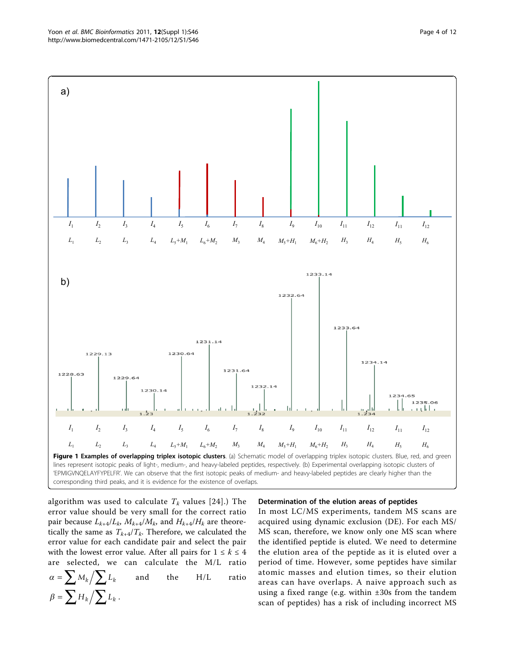<span id="page-3-0"></span>

algorithm was used to calculate  $T_k$  values [[24](#page-11-0)].) The error value should be very small for the correct ratio pair because  $L_{k+4}/L_k$ ,  $M_{k+4}/M_k$ , and  $H_{k+4}/H_k$  are theoretically the same as  $T_{k+4}/T_k$ . Therefore, we calculated the error value for each candidate pair and select the pair with the lowest error value. After all pairs for  $1 \leq k \leq 4$ are selected, we can calculate the M/L ratio  $\alpha = \sum M_k / \sum L_k$  and the H/L ratio  $\beta = \sum H_k / \sum L_k$ .

# Determination of the elution areas of peptides

In most LC/MS experiments, tandem MS scans are acquired using dynamic exclusion (DE). For each MS/ MS scan, therefore, we know only one MS scan where the identified peptide is eluted. We need to determine the elution area of the peptide as it is eluted over a period of time. However, some peptides have similar atomic masses and elution times, so their elution areas can have overlaps. A naive approach such as using a fixed range (e.g. within ±30s from the tandem scan of peptides) has a risk of including incorrect MS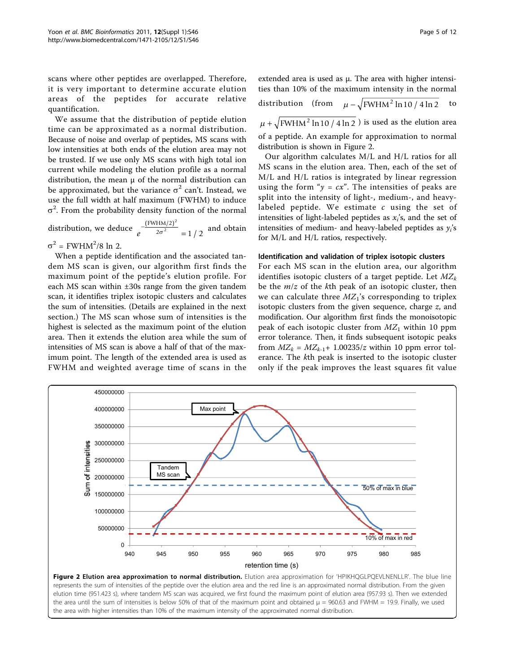scans where other peptides are overlapped. Therefore, it is very important to determine accurate elution areas of the peptides for accurate relative quantification.

We assume that the distribution of peptide elution time can be approximated as a normal distribution. Because of noise and overlap of peptides, MS scans with low intensities at both ends of the elution area may not be trusted. If we use only MS scans with high total ion current while modeling the elution profile as a normal distribution, the mean μ of the normal distribution can be approximated, but the variance  $\sigma^2$  can't. Instead, we use the full width at half maximum (FWHM) to induce  $\sigma^2$ . From the probability density function of the normal

distribution, we deduce  $e^{\frac{(\mathbf{x} + \mathbf{x})^2}{2\sigma^2}} =$  $(FWHM/2)$ / FWHM/2 2 2  $\frac{1}{\sigma^2}$  = 1/2 and obtain

 $\sigma^2$  = FWHM<sup>2</sup>/8 ln 2.

When a peptide identification and the associated tandem MS scan is given, our algorithm first finds the maximum point of the peptide's elution profile. For each MS scan within ±30s range from the given tandem scan, it identifies triplex isotopic clusters and calculates the sum of intensities. (Details are explained in the next section.) The MS scan whose sum of intensities is the highest is selected as the maximum point of the elution area. Then it extends the elution area while the sum of intensities of MS scan is above a half of that of the maximum point. The length of the extended area is used as FWHM and weighted average time of scans in the distribution (from  $\mu - \sqrt{FWHM^2 \ln 10/4 \ln 2}$  to

 $\mu + \sqrt{FWHM^2 \ln 10 / 4 \ln 2}$  is used as the elution area of a peptide. An example for approximation to normal distribution is shown in Figure 2.

Our algorithm calculates M/L and H/L ratios for all MS scans in the elution area. Then, each of the set of M/L and H/L ratios is integrated by linear regression using the form " $y = cx$ ". The intensities of peaks are split into the intensity of light-, medium-, and heavylabeled peptide. We estimate  $c$  using the set of intensities of light-labeled peptides as  $x_i$ 's, and the set of intensities of medium- and heavy-labeled peptides as  $y_i$ 's for M/L and H/L ratios, respectively.

# Identification and validation of triplex isotopic clusters

For each MS scan in the elution area, our algorithm identifies isotopic clusters of a target peptide. Let  $MZ_k$ be the  $m/z$  of the kth peak of an isotopic cluster, then we can calculate three  $MZ_1$ 's corresponding to triplex isotopic clusters from the given sequence, charge z, and modification. Our algorithm first finds the monoisotopic peak of each isotopic cluster from  $MZ<sub>1</sub>$  within 10 ppm error tolerance. Then, it finds subsequent isotopic peaks from  $MZ_k = MZ_{k-1} + 1.00235/z$  within 10 ppm error tolerance. The kth peak is inserted to the isotopic cluster only if the peak improves the least squares fit value



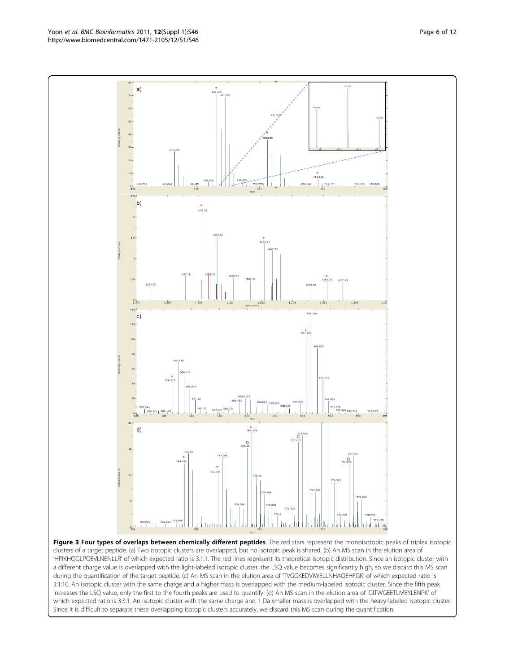Figure 3 Four types of overlaps between chemically different peptides. The red stars represent the monoisotopic peaks of triplex isotopic which expected ratio is 3:3:1. An isotopic cluster with the same charge and 1 Da smaller mass is overlapped with the heavy-labeled isotopic cluster.

 $760.933 \qquad 762.581$  $^{0.1}$ clusters of a target peptide. (a) Two isotopic clusters are overlapped, but no isotopic peak is shared. (b) An MS scan in the elution area of 'HPIKHQGLPQEVLNENLLR' of which expected ratio is 3:1:1. The red lines represent its theoretical isotopic distribution. Since an isotopic cluster with a different charge value is overlapped with the light-labeled isotopic cluster, the LSQ value becomes significantly high, so we discard this MS scan during the quantification of the target peptide. (c) An MS scan in the elution area of 'TVGGKEDVIWELLNHAQEHFGK' of which expected ratio is 3:1:10. An isotopic cluster with the same charge and a higher mass is overlapped with the medium-labeled isotopic cluster. Since the fifth peak increases the LSQ value, only the first to the fourth peaks are used to quantify. (d) An MS scan in the elution area of 'GITWGEETLMEYLENPK' of Since it is difficult to separate these overlapping isotopic clusters accurately, we discard this MS scan during the quantification.

<span id="page-5-0"></span>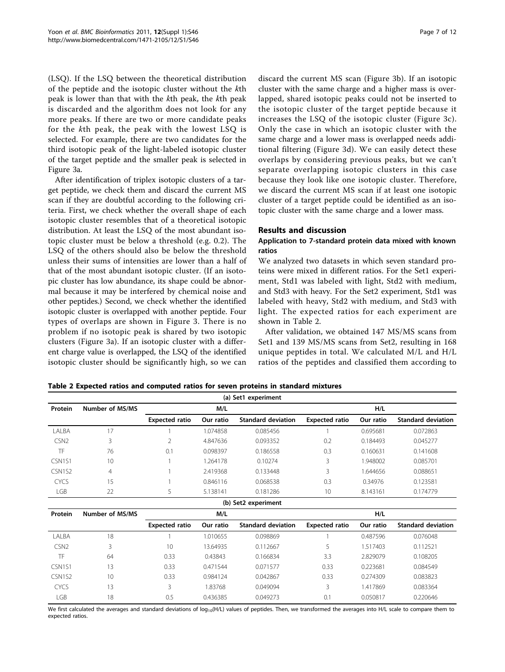<span id="page-6-0"></span>(LSQ). If the LSQ between the theoretical distribution of the peptide and the isotopic cluster without the kth peak is lower than that with the kth peak, the kth peak is discarded and the algorithm does not look for any more peaks. If there are two or more candidate peaks for the kth peak, the peak with the lowest LSQ is selected. For example, there are two candidates for the third isotopic peak of the light-labeled isotopic cluster of the target peptide and the smaller peak is selected in Figure [3a.](#page-5-0)

After identification of triplex isotopic clusters of a target peptide, we check them and discard the current MS scan if they are doubtful according to the following criteria. First, we check whether the overall shape of each isotopic cluster resembles that of a theoretical isotopic distribution. At least the LSQ of the most abundant isotopic cluster must be below a threshold (e.g. 0.2). The LSQ of the others should also be below the threshold unless their sums of intensities are lower than a half of that of the most abundant isotopic cluster. (If an isotopic cluster has low abundance, its shape could be abnormal because it may be interfered by chemical noise and other peptides.) Second, we check whether the identified isotopic cluster is overlapped with another peptide. Four types of overlaps are shown in Figure [3](#page-5-0). There is no problem if no isotopic peak is shared by two isotopic clusters (Figure [3a\)](#page-5-0). If an isotopic cluster with a different charge value is overlapped, the LSQ of the identified isotopic cluster should be significantly high, so we can discard the current MS scan (Figure [3b](#page-5-0)). If an isotopic cluster with the same charge and a higher mass is overlapped, shared isotopic peaks could not be inserted to the isotopic cluster of the target peptide because it increases the LSQ of the isotopic cluster (Figure [3c](#page-5-0)). Only the case in which an isotopic cluster with the same charge and a lower mass is overlapped needs additional filtering (Figure [3d](#page-5-0)). We can easily detect these overlaps by considering previous peaks, but we can't separate overlapping isotopic clusters in this case because they look like one isotopic cluster. Therefore, we discard the current MS scan if at least one isotopic cluster of a target peptide could be identified as an isotopic cluster with the same charge and a lower mass.

# Results and discussion

# Application to 7-standard protein data mixed with known ratios

We analyzed two datasets in which seven standard proteins were mixed in different ratios. For the Set1 experiment, Std1 was labeled with light, Std2 with medium, and Std3 with heavy. For the Set2 experiment, Std1 was labeled with heavy, Std2 with medium, and Std3 with light. The expected ratios for each experiment are shown in Table 2.

After validation, we obtained 147 MS/MS scans from Set1 and 139 MS/MS scans from Set2, resulting in 168 unique peptides in total. We calculated M/L and H/L ratios of the peptides and classified them according to

| Set1 experiment<br>(a)          |                 |                       |           |                           |                       |           |                           |
|---------------------------------|-----------------|-----------------------|-----------|---------------------------|-----------------------|-----------|---------------------------|
| Protein                         | Number of MS/MS |                       | M/L       |                           | H/L                   |           |                           |
|                                 |                 | <b>Expected ratio</b> | Our ratio | <b>Standard deviation</b> | <b>Expected ratio</b> | Our ratio | <b>Standard deviation</b> |
| LALBA                           | 17              | 1                     | 1.074858  | 0.085456                  |                       | 0.695681  | 0.072863                  |
| CSN <sub>2</sub>                | 3               | $\overline{2}$        | 4.847636  | 0.093352                  | 0.2                   | 0.184493  | 0.045277                  |
| TF                              | 76              | 0.1                   | 0.098397  | 0.186558                  | 0.3                   | 0.160631  | 0.141608                  |
| CSN1S1                          | 10              | 1                     | 1.264178  | 0.10274                   | 3                     | 1.948002  | 0.085701                  |
| CSN <sub>1</sub> S <sub>2</sub> | $\overline{4}$  |                       | 2.419368  | 0.133448                  | 3                     | 1.644656  | 0.088651                  |
| <b>CYCS</b>                     | 15              | $\mathbf{1}$          | 0.846116  | 0.068538                  | 0.3                   | 0.34976   | 0.123581                  |
| <b>LGB</b>                      | 22              | 5                     | 5.138141  | 0.181286                  | 10                    | 8.143161  | 0.174779                  |
| (b) Set2 experiment             |                 |                       |           |                           |                       |           |                           |
| Protein                         | Number of MS/MS | M/L                   |           |                           |                       | H/L       |                           |
|                                 |                 | <b>Expected ratio</b> | Our ratio | <b>Standard deviation</b> | <b>Expected ratio</b> | Our ratio | <b>Standard deviation</b> |
| LALBA                           | 18              |                       | 1.010655  | 0.098869                  |                       | 0.487596  | 0.076048                  |
| CSN <sub>2</sub>                | 3               | 10                    | 13.64935  | 0.112667                  | 5                     | 1.517403  | 0.112521                  |
| TF                              | 64              | 0.33                  | 0.43843   | 0.166834                  | 3.3                   | 2.829079  | 0.108205                  |
| CSN1S1                          | 13              | 0.33                  | 0.471544  | 0.071577                  | 0.33                  | 0.223681  | 0.084549                  |
| CSN <sub>1</sub> S <sub>2</sub> | 10              | 0.33                  | 0.984124  | 0.042867                  | 0.33                  | 0.274309  | 0.083823                  |
| <b>CYCS</b>                     | 13              | 3                     | 1.83768   | 0.049094                  | 3                     | 1.417869  | 0.083364                  |
| LGB                             | 18              | 0.5                   | 0.436385  | 0.049273                  | 0.1                   | 0.050817  | 0.220646                  |

Table 2 Expected ratios and computed ratios for seven proteins in standard mixtures

We first calculated the averages and standard deviations of log<sub>10</sub>(H/L) values of peptides. Then, we transformed the averages into H/L scale to compare them to expected ratios.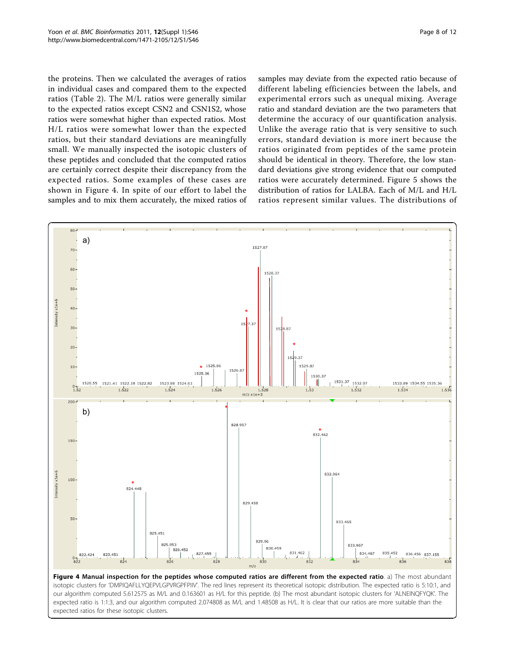<span id="page-7-0"></span>the proteins. Then we calculated the averages of ratios in individual cases and compared them to the expected ratios (Table [2](#page-6-0)). The M/L ratios were generally similar to the expected ratios except CSN2 and CSN1S2, whose ratios were somewhat higher than expected ratios. Most H/L ratios were somewhat lower than the expected ratios, but their standard deviations are meaningfully small. We manually inspected the isotopic clusters of these peptides and concluded that the computed ratios are certainly correct despite their discrepancy from the expected ratios. Some examples of these cases are shown in Figure 4. In spite of our effort to label the samples and to mix them accurately, the mixed ratios of samples may deviate from the expected ratio because of different labeling efficiencies between the labels, and experimental errors such as unequal mixing. Average ratio and standard deviation are the two parameters that determine the accuracy of our quantification analysis. Unlike the average ratio that is very sensitive to such errors, standard deviation is more inert because the ratios originated from peptides of the same protein should be identical in theory. Therefore, the low standard deviations give strong evidence that our computed ratios were accurately determined. Figure [5](#page-8-0) shows the distribution of ratios for LALBA. Each of M/L and H/L ratios represent similar values. The distributions of

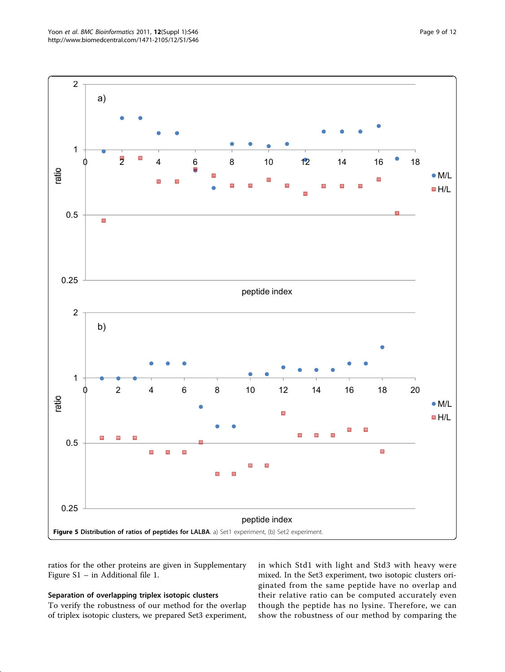<span id="page-8-0"></span>

ratios for the other proteins are given in Supplementary Figure S1 – in Additional file [1.](#page-10-0)

# Separation of overlapping triplex isotopic clusters

To verify the robustness of our method for the overlap of triplex isotopic clusters, we prepared Set3 experiment, in which Std1 with light and Std3 with heavy were mixed. In the Set3 experiment, two isotopic clusters originated from the same peptide have no overlap and their relative ratio can be computed accurately even though the peptide has no lysine. Therefore, we can show the robustness of our method by comparing the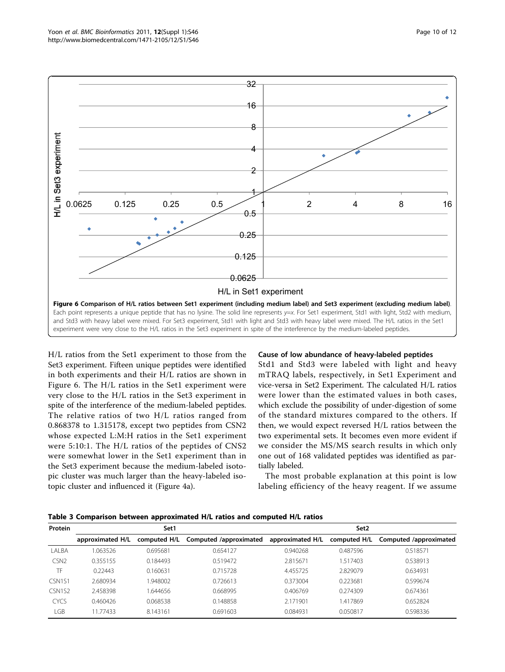<span id="page-9-0"></span>

H/L ratios from the Set1 experiment to those from the Set3 experiment. Fifteen unique peptides were identified in both experiments and their H/L ratios are shown in Figure 6. The H/L ratios in the Set1 experiment were very close to the H/L ratios in the Set3 experiment in spite of the interference of the medium-labeled peptides. The relative ratios of two H/L ratios ranged from 0.868378 to 1.315178, except two peptides from CSN2 whose expected L:M:H ratios in the Set1 experiment were 5:10:1. The H/L ratios of the peptides of CNS2 were somewhat lower in the Set1 experiment than in the Set3 experiment because the medium-labeled isotopic cluster was much larger than the heavy-labeled isotopic cluster and influenced it (Figure [4a\)](#page-7-0).

# Cause of low abundance of heavy-labeled peptides

Std1 and Std3 were labeled with light and heavy mTRAQ labels, respectively, in Set1 Experiment and vice-versa in Set2 Experiment. The calculated H/L ratios were lower than the estimated values in both cases, which exclude the possibility of under-digestion of some of the standard mixtures compared to the others. If then, we would expect reversed H/L ratios between the two experimental sets. It becomes even more evident if we consider the MS/MS search results in which only one out of 168 validated peptides was identified as partially labeled.

The most probable explanation at this point is low labeling efficiency of the heavy reagent. If we assume

Table 3 Comparison between approximated H/L ratios and computed H/L ratios

| Protein     |                  | Set1         |                        | Set <sub>2</sub> |              |                        |  |
|-------------|------------------|--------------|------------------------|------------------|--------------|------------------------|--|
|             | approximated H/L | computed H/L | Computed /approximated | approximated H/L | computed H/L | Computed /approximated |  |
| LALBA       | 1.063526         | 0.695681     | 0.654127               | 0.940268         | 0.487596     | 0.518571               |  |
| CSN2        | 0.355155         | 0.184493     | 0.519472               | 2.815671         | .517403      | 0.538913               |  |
| TF          | 0.22443          | 0.160631     | 0.715728               | 4.455725         | 2.829079     | 0.634931               |  |
| CSN1S1      | 2.680934         | .948002      | 0.726613               | 0.373004         | 0.223681     | 0.599674               |  |
| CSN1S2      | 2.458398         | .644656      | 0.668995               | 0.406769         | 0.274309     | 0.674361               |  |
| <b>CYCS</b> | 0.460426         | 0.068538     | 0.148858               | 2.171901         | .417869      | 0.652824               |  |
| LGB         | 11.77433         | 8.143161     | 0.691603               | 0.084931         | 0.050817     | 0.598336               |  |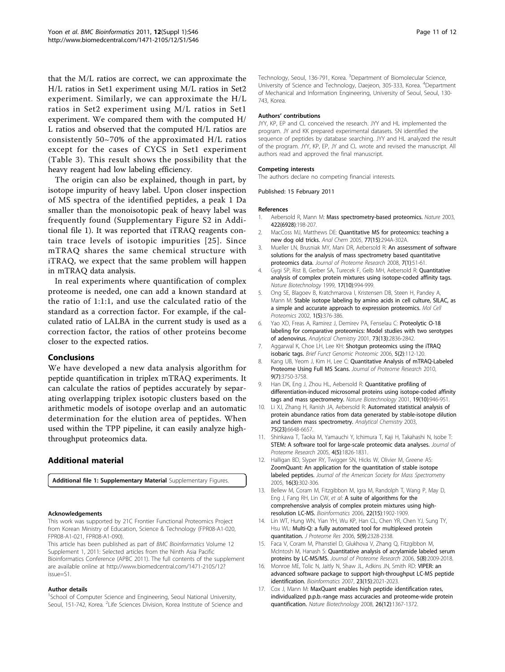<span id="page-10-0"></span>that the M/L ratios are correct, we can approximate the H/L ratios in Set1 experiment using M/L ratios in Set2 experiment. Similarly, we can approximate the H/L ratios in Set2 experiment using M/L ratios in Set1 experiment. We compared them with the computed H/ L ratios and observed that the computed H/L ratios are consistently 50~70% of the approximated H/L ratios except for the cases of CYCS in Set1 experiment (Table [3\)](#page-9-0). This result shows the possibility that the heavy reagent had low labeling efficiency.

The origin can also be explained, though in part, by isotope impurity of heavy label. Upon closer inspection of MS spectra of the identified peptides, a peak 1 Da smaller than the monoisotopic peak of heavy label was frequently found (Supplementary Figure S2 in Additional file 1). It was reported that iTRAQ reagents contain trace levels of isotopic impurities [[25\]](#page-11-0). Since mTRAQ shares the same chemical structure with iTRAQ, we expect that the same problem will happen in mTRAQ data analysis.

In real experiments where quantification of complex proteome is needed, one can add a known standard at the ratio of 1:1:1, and use the calculated ratio of the standard as a correction factor. For example, if the calculated ratio of LALBA in the current study is used as a correction factor, the ratios of other proteins become closer to the expected ratios.

# Conclusions

We have developed a new data analysis algorithm for peptide quantification in triplex mTRAQ experiments. It can calculate the ratios of peptides accurately by separating overlapping triplex isotopic clusters based on the arithmetic models of isotope overlap and an automatic determination for the elution area of peptides. When used within the TPP pipeline, it can easily analyze highthroughput proteomics data.

# Additional material

[Additional file 1: S](http://www.biomedcentral.com/content/supplementary/1471-2105-12-S1-S46-S1.docx)upplementary Material Supplementary Figures.

#### Acknowledgements

This work was supported by 21C Frontier Functional Proteomics Project from Korean Ministry of Education, Science & Technology (FPR08-A1-020, FPR08-A1-021, FPR08-A1-090).

This article has been published as part of BMC Bioinformatics Volume 12 Supplement 1, 2011: Selected articles from the Ninth Asia Pacific Bioinformatics Conference (APBC 2011). The full contents of the supplement are available online at [http://www.biomedcentral.com/1471-2105/12?](http://www.biomedcentral.com/1471-2105/12?issue=S1) [issue=S1.](http://www.biomedcentral.com/1471-2105/12?issue=S1)

#### Author details

<sup>1</sup>School of Computer Science and Engineering, Seoul National University, Seoul, 151-742, Korea. <sup>2</sup> Life Sciences Division, Korea Institute of Science and

Technology, Seoul, 136-791, Korea. <sup>3</sup>Department of Biomolecular Science, University of Science and Technology, Daejeon, 305-333, Korea. <sup>4</sup>Department of Mechanical and Information Engineering, University of Seoul, Seoul, 130- 743, Korea.

#### Authors' contributions

JYY, KP, EP and CL conceived the research. JYY and HL implemented the program. JY and KK prepared experimental datasets. SN identified the sequence of peptides by database searching. JYY and HL analyzed the result of the program. JYY, KP, EP, JY and CL wrote and revised the manuscript. All authors read and approved the final manuscript.

#### Competing interests

The authors declare no competing financial interests.

#### Published: 15 February 2011

#### References

- 1. Aebersold R, Mann M: [Mass spectrometry-based proteomics.](http://www.ncbi.nlm.nih.gov/pubmed/12634793?dopt=Abstract) Nature 2003, 422(6928):198-207.
- 2. MacCoss MJ, Matthews DE: [Quantitative MS for proteomics: teaching a](http://www.ncbi.nlm.nih.gov/pubmed/16134292?dopt=Abstract) [new dog old tricks.](http://www.ncbi.nlm.nih.gov/pubmed/16134292?dopt=Abstract) Anal Chem 2005, 77(15):294A-302A.
- 3. Mueller LN, Brusniak MY, Mani DR, Aebersold R: [An assessment of software](http://www.ncbi.nlm.nih.gov/pubmed/18173218?dopt=Abstract) [solutions for the analysis of mass spectrometry based quantitative](http://www.ncbi.nlm.nih.gov/pubmed/18173218?dopt=Abstract) [proteomics data.](http://www.ncbi.nlm.nih.gov/pubmed/18173218?dopt=Abstract) Journal of Proteome Research 2008, 7(1):51-61.
- 4. Gygi SP, Rist B, Gerber SA, Turecek F, Gelb MH, Aebersold R: [Quantitative](http://www.ncbi.nlm.nih.gov/pubmed/10504701?dopt=Abstract) [analysis of complex protein mixtures using isotope-coded affinity tags.](http://www.ncbi.nlm.nih.gov/pubmed/10504701?dopt=Abstract) Nature Biotechnology 1999, 17(10):994-999.
- 5. Ong SE, Blagoev B, Kratchmarova I, Kristensen DB, Steen H, Pandey A, Mann M: [Stable isotope labeling by amino acids in cell culture, SILAC, as](http://www.ncbi.nlm.nih.gov/pubmed/12118079?dopt=Abstract) [a simple and accurate approach to expression proteomics.](http://www.ncbi.nlm.nih.gov/pubmed/12118079?dopt=Abstract) Mol Cell Proteomics 2002, 1(5):376-386.
- 6. Yao XD, Freas A, Ramirez J, Demirev PA, Fenselau C: [Proteolytic O-18](http://www.ncbi.nlm.nih.gov/pubmed/11467524?dopt=Abstract) [labeling for comparative proteomics: Model studies with two serotypes](http://www.ncbi.nlm.nih.gov/pubmed/11467524?dopt=Abstract) [of adenovirus.](http://www.ncbi.nlm.nih.gov/pubmed/11467524?dopt=Abstract) Analytical Chemistry 2001, 73(13):2836-2842.
- 7. Aggarwal K, Choe LH, Lee KH: [Shotgun proteomics using the iTRAQ](http://www.ncbi.nlm.nih.gov/pubmed/16772272?dopt=Abstract) [isobaric tags.](http://www.ncbi.nlm.nih.gov/pubmed/16772272?dopt=Abstract) Brief Funct Genomic Proteomic 2006, 5(2):112-120.
- 8. Kang UB, Yeom J, Kim H, Lee C: [Quantitative Analysis of mTRAQ-Labeled](http://www.ncbi.nlm.nih.gov/pubmed/20465265?dopt=Abstract) [Proteome Using Full MS Scans.](http://www.ncbi.nlm.nih.gov/pubmed/20465265?dopt=Abstract) Journal of Proteome Research 2010, 9(7):3750-3758.
- 9. Han DK, Eng J, Zhou HL, Aebersold R: [Quantitative profiling of](http://www.ncbi.nlm.nih.gov/pubmed/11581660?dopt=Abstract) [differentiation-induced microsomal proteins using isotope-coded affinity](http://www.ncbi.nlm.nih.gov/pubmed/11581660?dopt=Abstract) [tags and mass spectrometry.](http://www.ncbi.nlm.nih.gov/pubmed/11581660?dopt=Abstract) Nature Biotechnology 2001, 19(10):946-951.
- 10. Li XJ, Zhang H, Ranish JA, Aebersold R: [Automated statistical analysis of](http://www.ncbi.nlm.nih.gov/pubmed/14640741?dopt=Abstract) [protein abundance ratios from data generated by stable-isotope dilution](http://www.ncbi.nlm.nih.gov/pubmed/14640741?dopt=Abstract) [and tandem mass spectrometry.](http://www.ncbi.nlm.nih.gov/pubmed/14640741?dopt=Abstract) Analytical Chemistry 2003, 75(23):6648-6657.
- 11. Shinkawa T, Taoka M, Yamauchi Y, Ichimura T, Kaji H, Takahashi N, Isobe T: [STEM: A software tool for large-scale proteomic data analyses.](http://www.ncbi.nlm.nih.gov/pubmed/16212438?dopt=Abstract) Journal of Proteome Research 2005, 4(5):1826-1831.
- 12. Halligan BD, Slyper RY, Twigger SN, Hicks W, Olivier M, Greene AS: [ZoomQuant: An application for the quantitation of stable isotope](http://www.ncbi.nlm.nih.gov/pubmed/15734322?dopt=Abstract) [labeled peptides.](http://www.ncbi.nlm.nih.gov/pubmed/15734322?dopt=Abstract) Journal of the American Society for Mass Spectrometry 2005, 16(3):302-306.
- 13. Bellew M, Coram M, Fitzgibbon M, Igra M, Randolph T, Wang P, May D, Eng J, Fang RH, Lin CW, et al: [A suite of algorithms for the](http://www.ncbi.nlm.nih.gov/pubmed/16766559?dopt=Abstract) [comprehensive analysis of complex protein mixtures using high](http://www.ncbi.nlm.nih.gov/pubmed/16766559?dopt=Abstract)[resolution LC-MS.](http://www.ncbi.nlm.nih.gov/pubmed/16766559?dopt=Abstract) Bioinformatics 2006, 22(15):1902-1909.
- 14. Lin WT, Hung WN, Yian YH, Wu KP, Han CL, Chen YR, Chen YJ, Sung TY, Hsu WL: [Multi-Q: a fully automated tool for multiplexed protein](http://www.ncbi.nlm.nih.gov/pubmed/16944945?dopt=Abstract) [quantitation.](http://www.ncbi.nlm.nih.gov/pubmed/16944945?dopt=Abstract) J Proteome Res 2006, 5(9):2328-2338.
- 15. Faca V, Coram M, Phanstiel D, Glukhova V, Zhang Q, Fitzgibbon M, McIntosh M, Hanash S: [Quantitative analysis of acrylamide labeled serum](http://www.ncbi.nlm.nih.gov/pubmed/16889424?dopt=Abstract) [proteins by LC-MS/MS.](http://www.ncbi.nlm.nih.gov/pubmed/16889424?dopt=Abstract) Journal of Proteome Research 2006, 5(8):2009-2018.
- 16. Monroe ME, Tolic N, Jaitly N, Shaw JL, Adkins JN, Smith RD: [VIPER: an](http://www.ncbi.nlm.nih.gov/pubmed/17545182?dopt=Abstract) [advanced software package to support high-throughput LC-MS peptide](http://www.ncbi.nlm.nih.gov/pubmed/17545182?dopt=Abstract) [identification.](http://www.ncbi.nlm.nih.gov/pubmed/17545182?dopt=Abstract) Bioinformatics 2007, 23(15):2021-2023.
- 17. Cox J, Mann M: [MaxQuant enables high peptide identification rates,](http://www.ncbi.nlm.nih.gov/pubmed/19029910?dopt=Abstract) [individualized p.p.b.-range mass accuracies and proteome-wide protein](http://www.ncbi.nlm.nih.gov/pubmed/19029910?dopt=Abstract) [quantification.](http://www.ncbi.nlm.nih.gov/pubmed/19029910?dopt=Abstract) Nature Biotechnology 2008, 26(12):1367-1372.